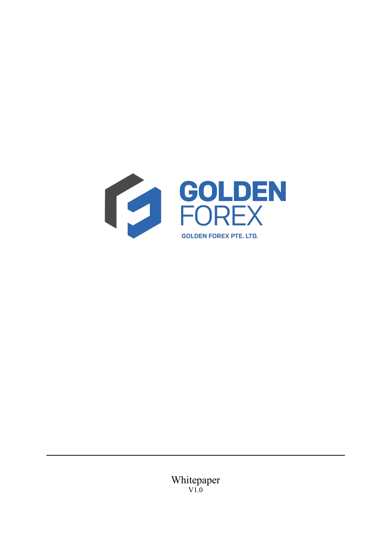

Whitepaper V1.0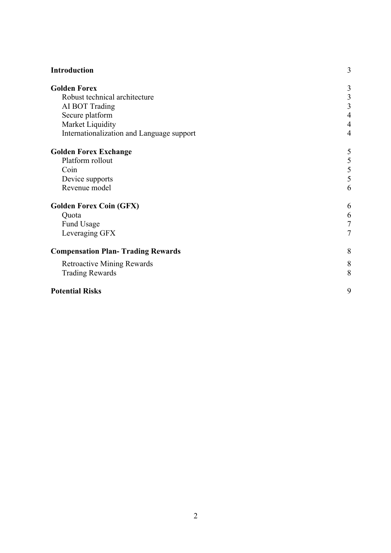| Introduction                              | 3              |
|-------------------------------------------|----------------|
| <b>Golden Forex</b>                       | 3              |
| Robust technical architecture             |                |
| AI BOT Trading                            | $\frac{3}{3}$  |
| Secure platform                           |                |
| Market Liquidity                          |                |
| Internationalization and Language support | $\overline{4}$ |
| <b>Golden Forex Exchange</b>              | 5              |
| Platform rollout                          |                |
| Coin                                      | $\frac{5}{5}$  |
| Device supports                           |                |
| Revenue model                             | 6              |
| <b>Golden Forex Coin (GFX)</b>            | 6              |
| Quota                                     | 6              |
| Fund Usage                                | 7              |
| Leveraging GFX                            | 7              |
| <b>Compensation Plan- Trading Rewards</b> | 8              |
| <b>Retroactive Mining Rewards</b>         | 8              |
| <b>Trading Rewards</b>                    | 8              |
| <b>Potential Risks</b>                    | 9              |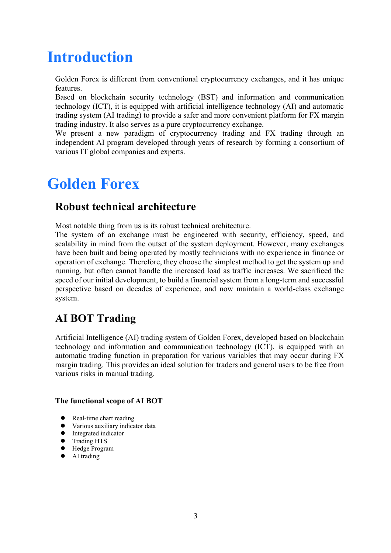# **Introduction**

Golden Forex is different from conventional cryptocurrency exchanges, and it has unique features.

Based on blockchain security technology (BST) and information and communication technology (ICT), it is equipped with artificial intelligence technology (AI) and automatic trading system (AI trading) to provide a safer and more convenient platform for FX margin trading industry. It also serves as a pure cryptocurrency exchange.

We present a new paradigm of cryptocurrency trading and FX trading through an independent AI program developed through years of research by forming a consortium of various IT global companies and experts.

# **Golden Forex**

#### **Robust technical architecture**

Most notable thing from us is its robust technical architecture.

The system of an exchange must be engineered with security, efficiency, speed, and scalability in mind from the outset of the system deployment. However, many exchanges have been built and being operated by mostly technicians with no experience in finance or operation of exchange. Therefore, they choose the simplest method to get the system up and running, but often cannot handle the increased load as traffic increases. We sacrificed the speed of our initial development, to build a financial system from a long-term and successful perspective based on decades of experience, and now maintain a world-class exchange system.

#### **AI BOT Trading**

Artificial Intelligence (AI) trading system of Golden Forex, developed based on blockchain technology and information and communication technology (ICT), is equipped with an automatic trading function in preparation for various variables that may occur during FX margin trading. This provides an ideal solution for traders and general users to be free from various risks in manual trading.

#### **The functional scope of AI BOT**

- Real-time chart reading
- Various auxiliary indicator data
- Integrated indicator
- **•** Trading HTS
- $\bullet$  Hedge Program
- AI trading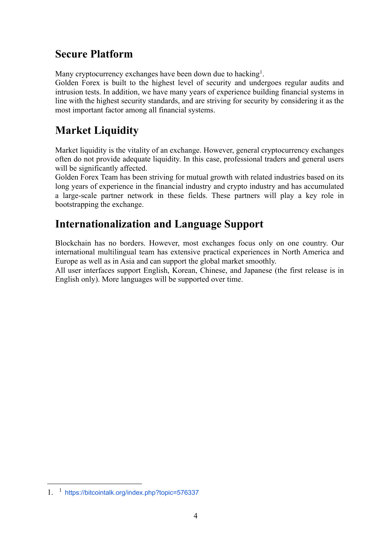#### **Secure Platform**

Many cryptocurrency exchanges have been down due to hacking<sup>1</sup>.

Golden Forex is built to the highest level of security and undergoes regular audits and intrusion tests. In addition, we have many years of experience building financial systems in line with the highest security standards, and are striving for security by considering it as the most important factor among all financial systems.

### **Market Liquidity**

Market liquidity is the vitality of an exchange. However, general cryptocurrency exchanges often do not provide adequate liquidity. In this case, professional traders and general users will be significantly affected.

Golden Forex Team has been striving for mutual growth with related industries based on its long years of experience in the financial industry and crypto industry and has accumulated a large-scale partner network in these fields. These partners will play a key role in bootstrapping the exchange.

#### **Internationalization and Language Support**

Blockchain has no borders. However, most exchanges focus only on one country. Our international multilingual team has extensive practical experiences in North America and Europe as well as in Asia and can support the global market smoothly.

All user interfaces support English, Korean, Chinese, and Japanese (the first release is in English only). More languages will be supported over time.

<sup>1.</sup> <sup>1</sup> https://bitcointalk.org/index.php?topic=576337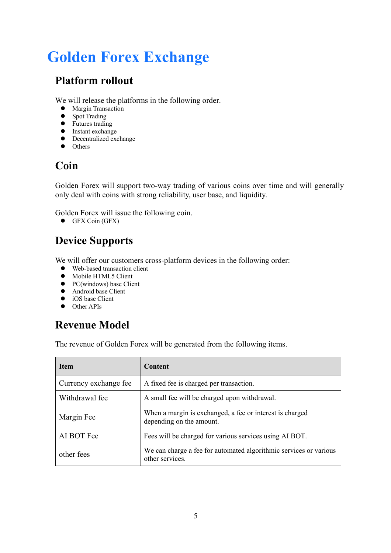# **Golden Forex Exchange**

### **Platform rollout**

We will release the platforms in the following order.

- **•** Margin Transaction
- Spot Trading
- Futures trading
- **•** Instant exchange
- $\bullet$  Decentralized exchange
- $\bullet$  Others

### **Coin**

Golden Forex will support two-way trading of various coins over time and will generally only deal with coins with strong reliability, user base, and liquidity.

Golden Forex will issue the following coin.

 $\bullet$  GFX Coin (GFX)

# **Device Supports**

We will offer our customers cross-platform devices in the following order:

- $\bullet$  Web-based transaction client
- 
- Mobile HTML5 Client<br>• PC(windows) base Clie PC(windows) base Client
- Android base Client<br>• iOS base Client
- iOS base Client
- $\bullet$  Other APIs

### **Revenue Model**

The revenue of Golden Forex will be generated from the following items.

| <b>Item</b>           | <b>Content</b>                                                                       |
|-----------------------|--------------------------------------------------------------------------------------|
| Currency exchange fee | A fixed fee is charged per transaction.                                              |
| Withdrawal fee        | A small fee will be charged upon withdrawal.                                         |
| Margin Fee            | When a margin is exchanged, a fee or interest is charged<br>depending on the amount. |
| AI BOT Fee            | Fees will be charged for various services using AI BOT.                              |
| other fees            | We can charge a fee for automated algorithmic services or various<br>other services. |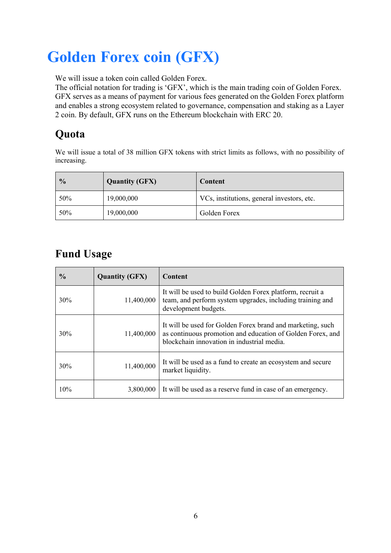# **Golden Forex coin (GFX)**

We will issue a token coin called Golden Forex.

The official notation for trading is 'GFX', which is the main trading coin of Golden Forex. GFX serves as a means of payment for various fees generated on the Golden Forex platform and enables a strong ecosystem related to governance, compensation and staking as a Layer 2 coin. By default, GFX runs on the Ethereum blockchain with ERC 20.

# **Quota**

We will issue a total of 38 million GFX tokens with strict limits as follows, with no possibility of increasing.

| $\frac{0}{0}$ | <b>Quantity (GFX)</b> | Content                                    |
|---------------|-----------------------|--------------------------------------------|
| 50%           | 19,000,000            | VCs, institutions, general investors, etc. |
| 50%           | 19,000,000            | Golden Forex                               |

### **Fund Usage**

| $\frac{0}{0}$ | <b>Quantity (GFX)</b> | Content                                                                                                                                                                |
|---------------|-----------------------|------------------------------------------------------------------------------------------------------------------------------------------------------------------------|
| 30%           | 11,400,000            | It will be used to build Golden Forex platform, recruit a<br>team, and perform system upgrades, including training and<br>development budgets.                         |
| 30%           | 11,400,000            | It will be used for Golden Forex brand and marketing, such<br>as continuous promotion and education of Golden Forex, and<br>blockchain innovation in industrial media. |
| 30%           | 11,400,000            | It will be used as a fund to create an ecosystem and secure<br>market liquidity.                                                                                       |
| 10%           | 3,800,000             | It will be used as a reserve fund in case of an emergency.                                                                                                             |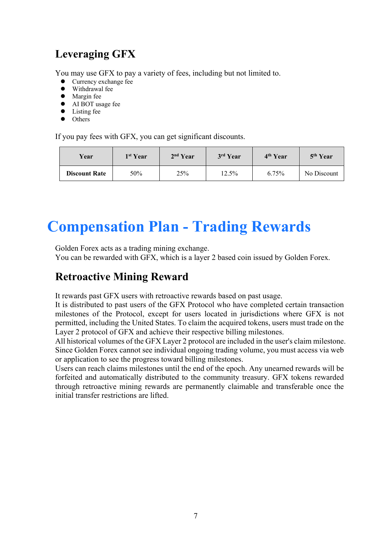### **Leveraging GFX**

You may use GFX to pay a variety of fees, including but not limited to.

- Currency exchange fee
- Withdrawal fee
- Margin fee
- AI BOT usage fee
- $\bullet$  Listing fee
- $\bullet$  Others

If you pay fees with GFX, you can get significant discounts.

| Year                 | 1 <sup>st</sup> Year | 2 <sup>nd</sup> Year | 3rd Year | 4 <sup>th</sup> Year | 5 <sup>th</sup> Year |
|----------------------|----------------------|----------------------|----------|----------------------|----------------------|
| <b>Discount Rate</b> | 50%                  | 25%                  | 12.5%    | 6.75%                | No Discount          |

# **Compensation Plan - Trading Rewards**

Golden Forex acts as a trading mining exchange.

You can be rewarded with GFX, which is a layer 2 based coin issued by Golden Forex.

#### **Retroactive Mining Reward**

It rewards past GFX users with retroactive rewards based on past usage.

It is distributed to past users of the GFX Protocol who have completed certain transaction milestones of the Protocol, except for users located in jurisdictions where GFX is not permitted, including the United States. To claim the acquired tokens, users must trade on the Layer 2 protocol of GFX and achieve their respective billing milestones.

All historical volumes of the GFX Layer 2 protocol are included in the user's claim milestone. Since Golden Forex cannot see individual ongoing trading volume, you must access via web or application to see the progress toward billing milestones.

Users can reach claims milestones until the end of the epoch. Any unearned rewards will be forfeited and automatically distributed to the community treasury. GFX tokens rewarded through retroactive mining rewards are permanently claimable and transferable once the initial transfer restrictions are lifted.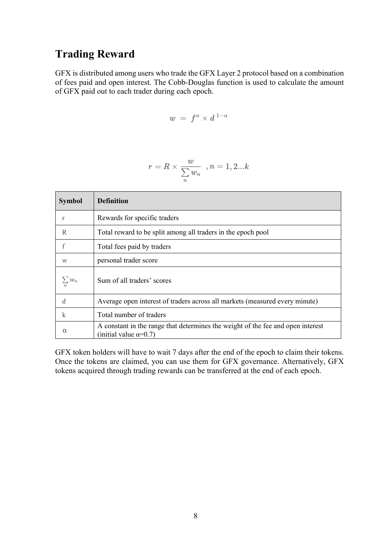#### **Trading Reward**

GFX is distributed among users who trade the GFX Layer 2 protocol based on a combination of fees paid and open interest. The Cobb-Douglas function is used to calculate the amount of GFX paid out to each trader during each epoch.

$$
w = f^{\alpha} \times d^{1-\alpha}
$$

$$
r=R\times \frac{w}{\sum\limits_n w_n} \ \ , n=1,2...k
$$

| <b>Symbol</b> | <b>Definition</b>                                                                                                |
|---------------|------------------------------------------------------------------------------------------------------------------|
| r             | Rewards for specific traders                                                                                     |
| R             | Total reward to be split among all traders in the epoch pool                                                     |
| f             | Total fees paid by traders                                                                                       |
| W             | personal trader score                                                                                            |
| $\sum w_n$    | Sum of all traders' scores                                                                                       |
| d             | Average open interest of traders across all markets (measured every minute)                                      |
| $\mathbf k$   | Total number of traders                                                                                          |
| $\alpha$      | A constant in the range that determines the weight of the fee and open interest<br>(initial value $\alpha$ =0.7) |

GFX token holders will have to wait 7 days after the end of the epoch to claim their tokens. Once the tokens are claimed, you can use them for GFX governance. Alternatively, GFX tokens acquired through trading rewards can be transferred at the end of each epoch.